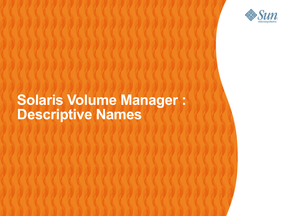

#### **Solaris Volume Manager : Descriptive Names**

,,,,,,,,,,,,,,,,,,,,,,,,,,,,,,

19999999999999999999999999

,,,,,,,,,,,,,,,,,,,,,,,,

,,,,,,,,,,,,,,,,,,,,,,,,,

,,,,,,,,,,,,,,,,,,,,,,,,,,,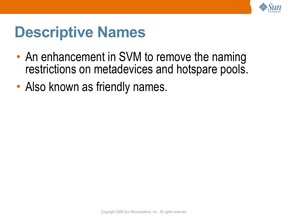

#### **Descriptive Names**

- An enhancement in SVM to remove the naming restrictions on metadevices and hotspare pools.
- Also known as friendly names.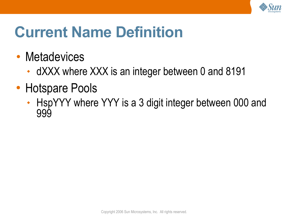

# **Current Name Definition**

- Metadevices
	- dXXX where XXX is an integer between 0 and 8191
- Hotspare Pools
	- HspYYY where YYY is a 3 digit integer between 000 and 999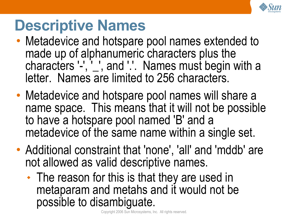

#### **Descriptive Names**

- Metadevice and hotspare pool names extended to made up of alphanumeric characters plus the characters '-', '\_', and '.'. Names must begin with a letter. Names are limited to 256 characters.
- Metadevice and hotspare pool names will share a name space. This means that it will not be possible to have a hotspare pool named 'B' and a metadevice of the same name within a single set.
- Additional constraint that 'none' , 'all' and 'mddb' are not allowed as valid descriptive names.
	- The reason for this is that they are used in metaparam and metahs and it would not be possible to disambiguate.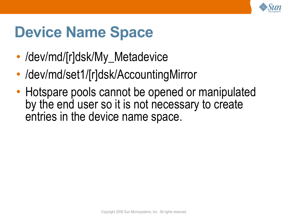

## **Device Name Space**

- /dev/md/[r]dsk/My\_Metadevice
- /dev/md/set1/[r]dsk/AccountingMirror
- Hotspare pools cannot be opened or manipulated by the end user so it is not necessary to create entries in the device name space.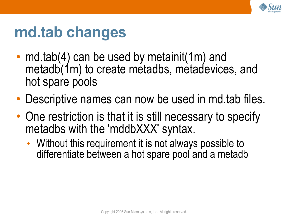

## **md.tab changes**

- md.tab(4) can be used by metainit(1m) and metadb(1m) to create metadbs, metadevices, and hot spare pools
- Descriptive names can now be used in md.tab files.
- One restriction is that it is still necessary to specify metadbs with the 'mddbXXX' syntax.
	- Without this requirement it is not always possible to differentiate between a hot spare pool and a metadb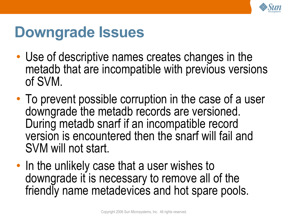

#### **Downgrade Issues**

- Use of descriptive names creates changes in the metadb that are incompatible with previous versions of SVM.
- To prevent possible corruption in the case of a user downgrade the metadb records are versioned. During metadb snarf if an incompatible record version is encountered then the snarf will fail and SVM will not start.
- In the unlikely case that a user wishes to downgrade it is necessary to remove all of the friendly name metadevices and hot spare pools.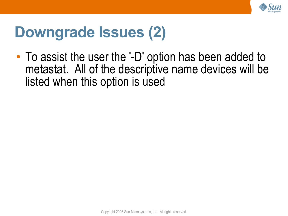

### **Downgrade Issues (2)**

• To assist the user the '-D' option has been added to metastat. All of the descriptive name devices will be listed when this option is used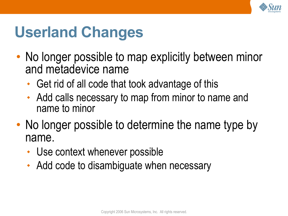

# **Userland Changes**

- No longer possible to map explicitly between minor and metadevice name
	- Get rid of all code that took advantage of this
	- Add calls necessary to map from minor to name and name to minor
- No longer possible to determine the name type by name.
	- Use context whenever possible
	- Add code to disambiguate when necessary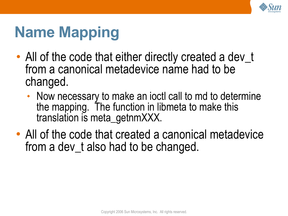

# **Name Mapping**

- All of the code that either directly created a dev\_t from a canonical metadevice name had to be changed.
	- Now necessary to make an joctl call to md to determine the mapping. The function in libmeta to make this translation is meta\_getnmXXX.
- All of the code that created a canonical metadevice from a dev t also had to be changed.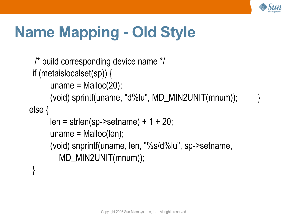

# **Name Mapping - Old Style**

```
/* build corresponding device name */
if (metaislocalset(sp)) { 
     uname = Malloc(20);
      (void) sprintf(uname, "d%lu", MD_MIN2UNIT(mnum)); }
else {
     len = strlen(sp->setname) + 1 + 20;uname = Malloc(len);(void) snprintf(uname, len,
"%s/d%lu"
, sp->setname,
        MD_MIN2UNIT(mnum));
 }
```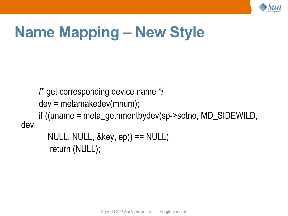

# **Name Mapping – New Style**

/\* get corresponding device name \*/ dev = metamakedev(mnum); if ((uname = meta\_getnmentbydev(sp->setno, MD\_SIDEWILD, dev,

NULL, NULL, &key, ep)) == NULL) return (NULL);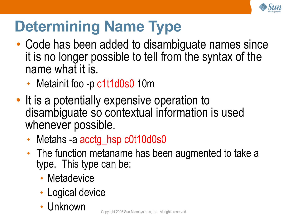

# **Determining Name Type**

- Code has been added to disambiguate names since it is no longer possible to tell from the syntax of the name what it is.
	- Metainit foo -p c1t1d0s0 10m
- It is a potentially expensive operation to disambiguate so contextual information is used whenever possible.
	- Metahs -a acctg\_hsp c0t10d0s0
	- The function metaname has been augmented to take a type. This type can be:
		- Metadevice
		- Logical device
		- Unknown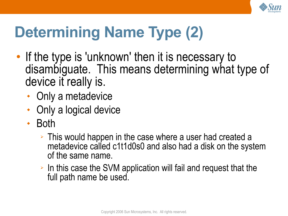

# **Determining Name Type (2)**

- If the type is 'unknown' then it is necessary to disambiguate. This means determining what type of device it really is.
	- Only a metadevice
	- Only a logical device
	- Both
		- ➢ This would happen in the case where a user had created a metadevice called c1t1d0s0 and also had a disk on the system of the same name.
		- ➢ In this case the SVM application will fail and request that the full path name be used.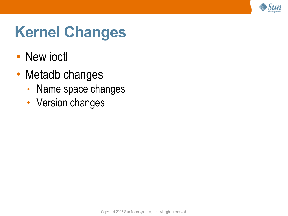

# **Kernel Changes**

- New joctl
- Metadb changes
	- Name space changes
	- Version changes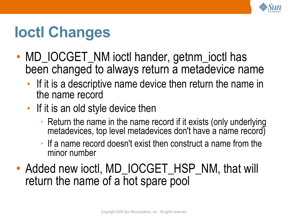

# **Ioctl Changes**

- MD\_IOCGET\_NM ioctl hander, getnm\_ioctl has been changed to always return a metadevice name
	- If it is a descriptive name device then return the name in the name record
	- If it is an old style device then
		- $\geq$  Return the name in the name record if it exists (only underlying metadevices, top level metadevices don't have a name record)
		- ➢ If a name record doesn't exist then construct a name from the minor number
- Added new ioctl, MD\_IOCGET\_HSP\_NM, that will return the name of a hot spare pool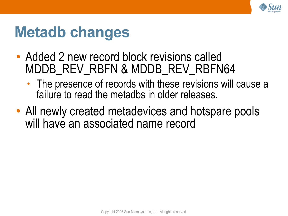

## **Metadb changes**

- Added 2 new record block revisions called MDDB REV RBFN & MDDB REV RBFN64
	- The presence of records with these revisions will cause a failure to read the metadbs in older releases.
- All newly created metadevices and hotspare pools will have an associated name record